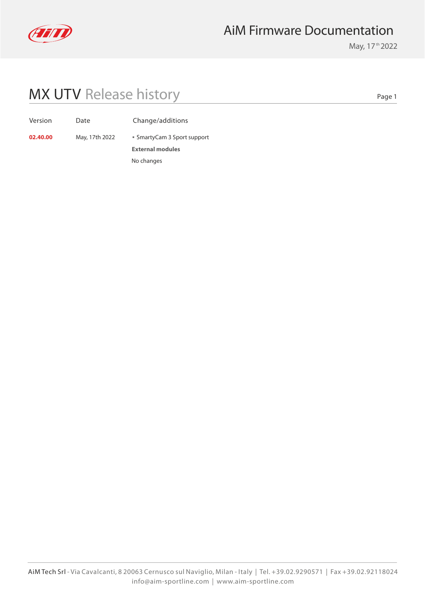

## AiM Firmware Documentation

May, 17<sup>th</sup> 2022

## MX UTV Release history

Page 1

| Version |  |  |
|---------|--|--|

Date Change/additions

**02.40.00** May, 17th 2022 **SmartyCam 3 Sport support** 

**External modules** No changes